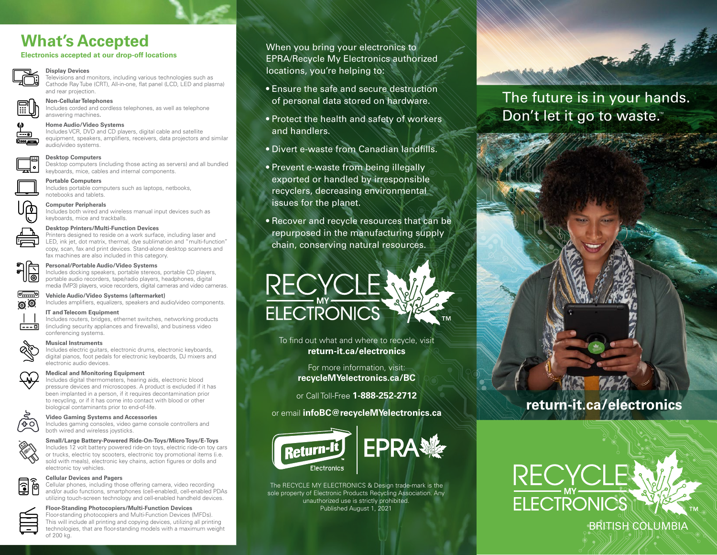# **What's Accepted**

## **Electronics accepted at our drop-off locations**

## **Display Devices**

Televisions and monitors, including various technologies such as Cathode Ray Tube (CRT), All-in-one, flat panel (LCD, LED and plasma) and rear projection.

## **Non-Cellular Telephones**

Includes corded and cordless telephones, as well as telephone answering machines.

### **Home Audio/Video Systems**

Includes VCR, DVD and CD players, digital cable and satellite equipment, speakers, amplifiers, receivers, data projectors and similar audio/video systems.

## **Desktop Computers**

Desktop computers (including those acting as servers) and all bundled keyboards, mice, cables and internal components.

**Portable Computers** Includes portable computers such as laptops, netbooks, notebooks and tablets.

**Computer Peripherals**

Includes both wired and wireless manual input devices such as keyboards, mice and trackballs.

## **Desktop Printers/Multi-Function Devices**

Printers designed to reside on a work surface, including laser and LED, ink jet, dot matrix, thermal, dye sublimation and "multi-function" copy, scan, fax and print devices. Stand-alone desktop scanners and fax machines are also included in this category.



## **Personal/Portable Audio/Video Systems**

Includes docking speakers, portable stereos, portable CD players, portable audio recorders, tape/radio players, headphones, digital media (MP3) players, voice recorders, digital cameras and video cameras.



## **Vehicle Audio/Video Systems (aftermarket)**

Includes amplifiers, equalizers, speakers and audio/video components.

## **IT and Telecom Equipment**

Includes routers, bridges, ethernet switches, networking products (including security appliances and firewalls), and business video conferencing systems.

## **Musical Instruments**

Includes electric guitars, electronic drums, electronic keyboards, digital pianos, foot pedals for electronic keyboards, DJ mixers and electronic audio devices.



## **Medical and Monitoring Equipment**

Includes digital thermometers, hearing aids, electronic blood pressure devices and microscopes. A product is excluded if it has been implanted in a person, if it requires decontamination prior to recycling, or if it has come into contact with blood or other biological contaminants prior to end-of-life.



## **Video Gaming Systems and Accessories**

Includes gaming consoles, video game console controllers and both wired and wireless joysticks.



Includes 12 volt battery powered ride-on toys, electric ride-on toy cars or trucks, electric toy scooters, electronic toy promotional items (i.e. sold with meals), electronic key chains, action figures or dolls and electronic toy vehicles.



## **Cellular Devices and Pagers**

Cellular phones, including those offering camera, video recording and/or audio functions, smartphones (cell-enabled), cell-enabled PDAs utilizing touch-screen technology and cell-enabled handheld devices.

**Floor-Standing Photocopiers/Multi-Function Devices** Floor-standing photocopiers and Multi-Function Devices (MFDs).

This will include all printing and copying devices, utilizing all printing technologies, that are floor-standing models with a maximum weight of 200 kg.

When you bring your electronics to EPRA/Recycle My Electronics authorized locations, you're helping to:

- Ensure the safe and secure destruction of personal data stored on hardware.
- Protect the health and safety of workers and handlers.
- Divert e-waste from Canadian landfills.
- Prevent e-waste from being illegally exported or handled by irresponsible recyclers, decreasing environmental issues for the planet.

• Recover and recycle resources that can be repurposed in the manufacturing supply chain, conserving natural resources.



To find out what and where to recycle, visit **return-it.ca/electronics** 

> For more information, visit: **recycleMYelectronics.ca/BC**

or Call Toll-Free **1-888-252-2712**

or email **infoBC@recycleMYelectronics.ca**



 The RECYCLE MY ELECTRONICS & Design trade-mark is the sole property of Electronic Products Recycling Association. Any unauthorized use is strictly prohibited. Published August 1, 2021

## The future is in your hands. Don't let it go to waste.™

and the first





## BRITISH COLUMBIA